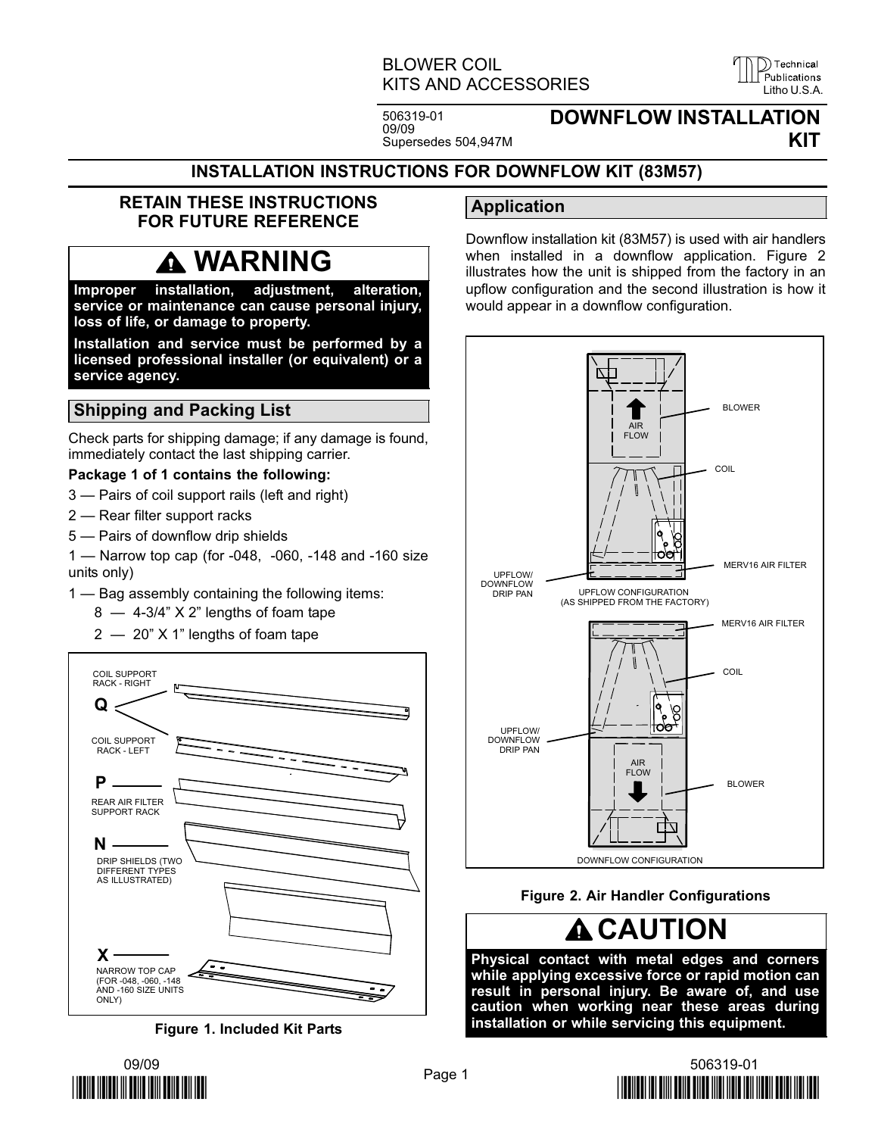## BLOWER COIL KITS AND ACCESSORIES LITTED LETTER LITTLE AND ACCESSORIES

Technical

506319−01 09/09 Supersedes 504,947M

## DOWNFLOW INSTALLATION KIT

#### INSTALLATION INSTRUCTIONS FOR DOWNFLOW KIT (83M57)

#### RETAIN THESE INSTRUCTIONS FOR FUTURE REFERENCE

# WARNING

Improper installation, adjustment, alteration, service or maintenance can cause personal injury, loss of life, or damage to property.

Installation and service must be performed by a licensed professional installer (or equivalent) or a service agency.

### Shipping and Packing List

Check parts for shipping damage; if any damage is found, immediately contact the last shipping carrier.

#### Package 1 of 1 contains the following:

- 3 Pairs of coil support rails (left and right)
- 2 Rear filter support racks
- 5 Pairs of downflow drip shields

1 — Narrow top cap (for -048, -060, -148 and -160 size units only)

- 1 Bag assembly containing the following items:
	- 8 4-3/4" X 2" lengths of foam tape
	- 2  $-$  20" X 1" lengths of foam tape



Figure 1. Included Kit Parts

## Application

Downflow installation kit (83M57) is used with air handlers when installed in a downflow application. Figure 2 illustrates how the unit is shipped from the factory in an upflow configuration and the second illustration is how it would appear in a downflow configuration.



#### Figure 2. Air Handler Configurations

# **A CAUTION**

Physical contact with metal edges and corners while applying excessive force or rapid motion can result in personal injury. Be aware of, and use caution when working near these areas during installation or while servicing this equipment.



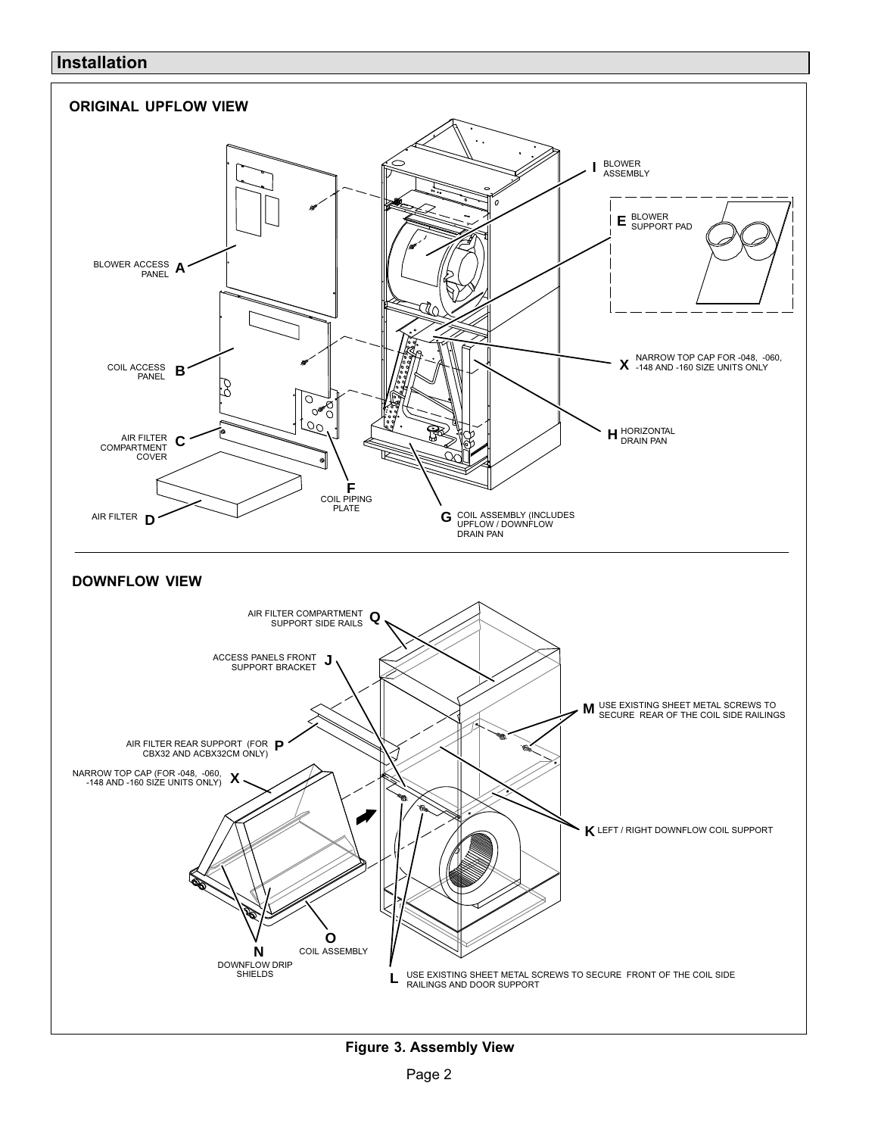#### <span id="page-1-0"></span>Installation



Figure 3. Assembly View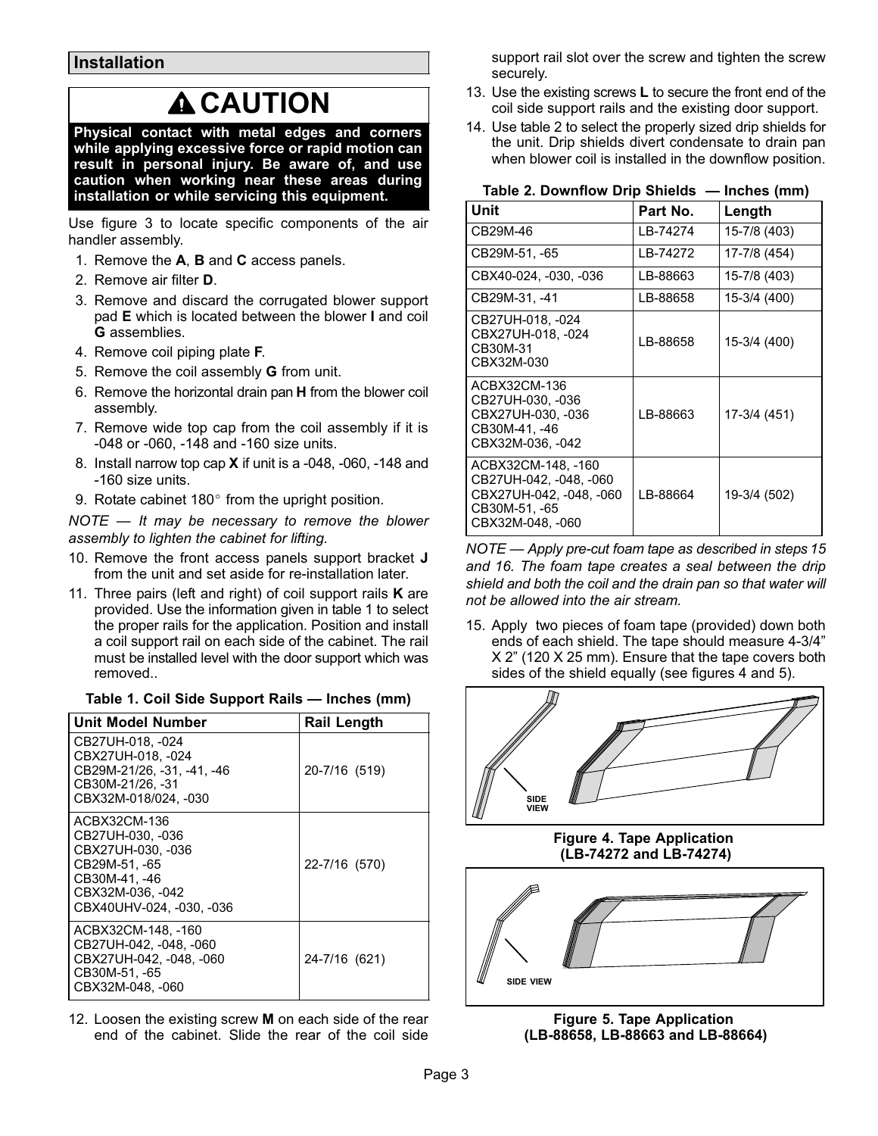Installation

# **A CAUTION**

Physical contact with metal edges and corners while applying excessive force or rapid motion can result in personal injury. Be aware of, and use caution when working near these areas during installation or while servicing this equipment.

Use figure [3](#page-1-0) to locate specific components of the air handler assembly.

- 1. Remove the A, B and C access panels.
- 2. Remove air filter D.
- 3. Remove and discard the corrugated blower support pad E which is located between the blower I and coil G assemblies.
- 4. Remove coil piping plate F.
- 5. Remove the coil assembly G from unit.
- 6. Remove the horizontal drain pan H from the blower coil assembly.
- 7. Remove wide top cap from the coil assembly if it is −048 or −060, −148 and −160 size units.
- 8. Install narrow top cap X if unit is a −048, −060, −148 and −160 size units. 9. Rotate cabinet 180- from the upright position.
- 

NOTE  $-$  It may be necessary to remove the blower assembly to lighten the cabinet for lifting.

- 10. Remove the front access panels support bracket J from the unit and set aside for re−installation later.
- 11. Three pairs (left and right) of coil support rails  $K$  are provided. Use the information given in table 1 to select the proper rails for the application. Position and install a coil support rail on each side of the cabinet. The rail must be installed level with the door support which was removed..

| Unit Model Number                                                                                                                       | <b>Rail Length</b> |
|-----------------------------------------------------------------------------------------------------------------------------------------|--------------------|
| CB27UH-018, -024<br>CBX27UH-018, -024<br>CB29M-21/26, -31, -41, -46<br>CB30M-21/26, -31<br>CBX32M-018/024, -030                         | 20-7/16 (519)      |
| ACBX32CM-136<br>CB27UH-030, -036<br>CBX27UH-030, -036<br>CB29M-51. -65<br>CB30M-41, -46<br>CBX32M-036, -042<br>CBX40UHV-024. -030. -036 | 22-7/16 (570)      |
| ACBX32CM-148, -160<br>CB27UH-042, -048, -060<br>CBX27UH-042, -048, -060<br>CB30M-51, -65<br>CBX32M-048, -060                            | 24-7/16 (621)      |

#### Table 1. Coil Side Support Rails — Inches (mm)

12. Loosen the existing screw M on each side of the rear end of the cabinet. Slide the rear of the coil side support rail slot over the screw and tighten the screw securely.

- 13. Use the existing screws L to secure the front end of the coil side support rails and the existing door support.
- 14. Use table 2 to select the properly sized drip shields for the unit. Drip shields divert condensate to drain pan when blower coil is installed in the downflow position.

Table 2. Downflow Drip Shields — Inches (mm)

| Unit                                                                                                         | Part No. | Length       |
|--------------------------------------------------------------------------------------------------------------|----------|--------------|
| CB29M-46                                                                                                     | IB-74274 | 15-7/8 (403) |
| CB29M-51, -65                                                                                                | LB-74272 | 17-7/8 (454) |
| CBX40-024, -030, -036                                                                                        | LB-88663 | 15-7/8 (403) |
| CB29M-31, -41                                                                                                | LB-88658 | 15-3/4 (400) |
| CB27UH-018, -024<br>CBX27UH-018. -024<br>CB30M-31<br>CBX32M-030                                              | LB-88658 | 15-3/4 (400) |
| ACBX32CM-136<br>CB27UH-030, -036<br>CBX27UH-030. -036<br>CB30M-41, -46<br>CBX32M-036, -042                   | LB-88663 | 17-3/4 (451) |
| ACBX32CM-148. -160<br>CB27UH-042, -048, -060<br>CBX27UH-042, -048, -060<br>CB30M-51, -65<br>CBX32M-048, -060 | LB-88664 | 19-3/4 (502) |

NOTE — Apply pre-cut foam tape as described in steps 15 and [16](#page-3-0). The foam tape creates a seal between the drip shield and both the coil and the drain pan so that water will not be allowed into the air stream.

15. Apply two pieces of foam tape (provided) down both ends of each shield. The tape should measure 4−3/4" X 2" (120 X 25 mm). Ensure that the tape covers both sides of the shield equally (see figures 4 and 5).



(LB−74272 and LB−74274)



Figure 5. Tape Application (LB−88658, LB−88663 and LB−88664)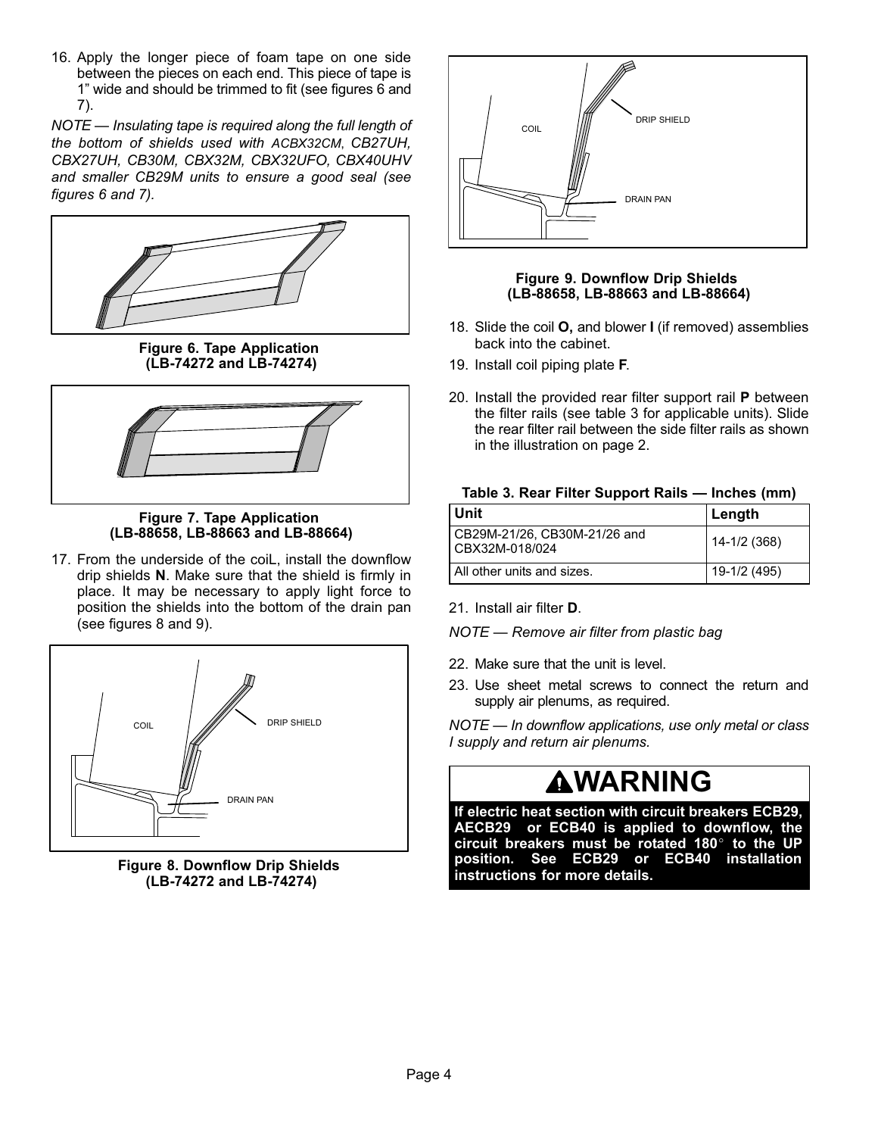<span id="page-3-0"></span>16. Apply the longer piece of foam tape on one side between the pieces on each end. This piece of tape is 1" wide and should be trimmed to fit (see figures 6 and 7).

NOTE — Insulating tape is required along the full length of the bottom of shields used with ACBX32CM, CB27UH, CBX27UH, CB30M, CBX32M, CBX32UFO, CBX40UHV and smaller CB29M units to ensure a good seal (see figures 6 and 7).



Figure 6. Tape Application (LB−74272 and LB−74274)



Figure 7. Tape Application (LB−88658, LB−88663 and LB−88664)

17. From the underside of the coiL, install the downflow drip shields N. Make sure that the shield is firmly in place. It may be necessary to apply light force to position the shields into the bottom of the drain pan (see figures 8 and 9).



Figure 8. Downflow Drip Shields (LB−74272 and LB−74274)



Figure 9. Downflow Drip Shields (LB−88658, LB−88663 and LB−88664)

- 18. Slide the coil **O**, and blower I (if removed) assemblies back into the cabinet.
- 19. Install coil piping plate F.
- 20. Install the provided rear filter support rail P between the filter rails (see table 3 for applicable units). Slide the rear filter rail between the side filter rails as shown in the illustration on page 2.

| Table 3. Rear Filter Support Rails - Inches (mm) |  |  |
|--------------------------------------------------|--|--|
|--------------------------------------------------|--|--|

| ∣ Unit                                         | ∣ Length     |
|------------------------------------------------|--------------|
| CB29M-21/26, CB30M-21/26 and<br>CBX32M-018/024 | 14-1/2 (368) |
| All other units and sizes.                     | 19-1/2 (495) |

21. Install air filter D.

NOTE — Remove air filter from plastic bag

- 22. Make sure that the unit is level.
- 23. Use sheet metal screws to connect the return and supply air plenums, as required.

NOTE — In downflow applications, use only metal or class I supply and return air plenums.

## **AWARNING**

If electric heat section with circuit breakers ECB29, If electric heat section with circuit breakers EOD25,<br>AECB29 or ECB40 is applied to downflow, the<br>circuit breakers must be rotated 180° to the UP circuit breakers must be rotated 180° to the UP position. See ECB29 or ECB40 installation instructions for more details.